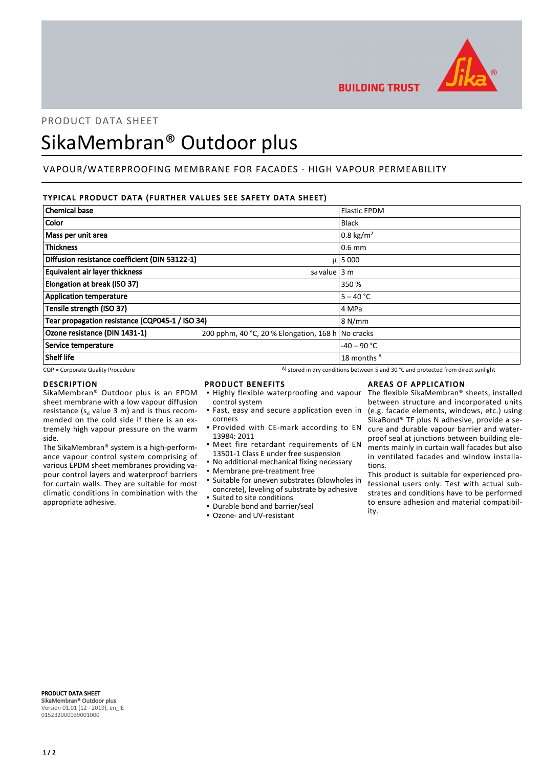

**BUILDING TRUST** 

# PRODUCT DATA SHEET

# SikaMembran® Outdoor plus

# VAPOUR/WATERPROOFING MEMBRANE FOR FACADES - HIGH VAPOUR PERMEABILITY

# TYPICAL PRODUCT DATA (FURTHER VALUES SEE SAFETY DATA SHEET)

| <b>Chemical base</b>                            |                                                   | <b>Elastic EPDM</b>  |
|-------------------------------------------------|---------------------------------------------------|----------------------|
| Color                                           |                                                   | <b>Black</b>         |
| Mass per unit area                              |                                                   | $0.8 \text{ kg/m}^2$ |
| <b>Thickness</b>                                |                                                   | $0.6$ mm             |
| Diffusion resistance coefficient (DIN 53122-1)  |                                                   | $\mu$   5 000        |
| <b>Equivalent air layer thickness</b>           | $sd$ value 3 m                                    |                      |
| Elongation at break (ISO 37)                    |                                                   | 350 %                |
| <b>Application temperature</b>                  |                                                   | $5 - 40 °C$          |
| Tensile strength (ISO 37)                       |                                                   | 4 MPa                |
| Tear propagation resistance (CQP045-1 / ISO 34) |                                                   | 8 N/mm               |
| Ozone resistance (DIN 1431-1)                   | 200 pphm, 40 °C, 20 % Elongation, 168 h No cracks |                      |
| Service temperature                             |                                                   | $-40 - 90$ °C        |
| <b>Shelf life</b>                               |                                                   | 18 months A          |

 $CQP$  = Corporate Quality Procedure  $A)$  stored in dry conditions between 5 and 30 °C and protected from direct sunlight

### DESCRIPTION

SikaMembran® Outdoor plus is an EPDM sheet membrane with a low vapour diffusion resistance ( $s_d$  value 3 m) and is thus recommended on the cold side if there is an extremely high vapour pressure on the warm side.

The SikaMembran® system is a high-performance vapour control system comprising of various EPDM sheet membranes providing vapour control layers and waterproof barriers for curtain walls. They are suitable for most climatic conditions in combination with the appropriate adhesive.

## PRODUCT BENEFITS

- **.** Highly flexible waterproofing and vapour control system
- **·** Fast, easy and secure application even in corners
- **Provided with CE-mark according to EN** 13984: 2011
- **•** Meet fire retardant requirements of EN 13501-1 Class E under free suspension
- No additional mechanical fixing necessary
- Membrane pre-treatment free
- Suitable for uneven substrates (blowholes in concrete), leveling of substrate by adhesive ▪ Suited to site conditions
- Durable bond and barrier/seal
- Ozone- and UV-resistant

# AREAS OF APPLICATION

The flexible SikaMembran® sheets, installed between structure and incorporated units (e.g. facade elements, windows, etc.) using SikaBond® TF plus N adhesive, provide a secure and durable vapour barrier and waterproof seal at junctions between building elements mainly in curtain wall facades but also in ventilated facades and window installations.

This product is suitable for experienced professional users only. Test with actual substrates and conditions have to be performed to ensure adhesion and material compatibility.

PRODUCT DATA SHEET SikaMembran® Outdoor plus Version 01.01 (12 - 2019), en\_IE 015232000039001000